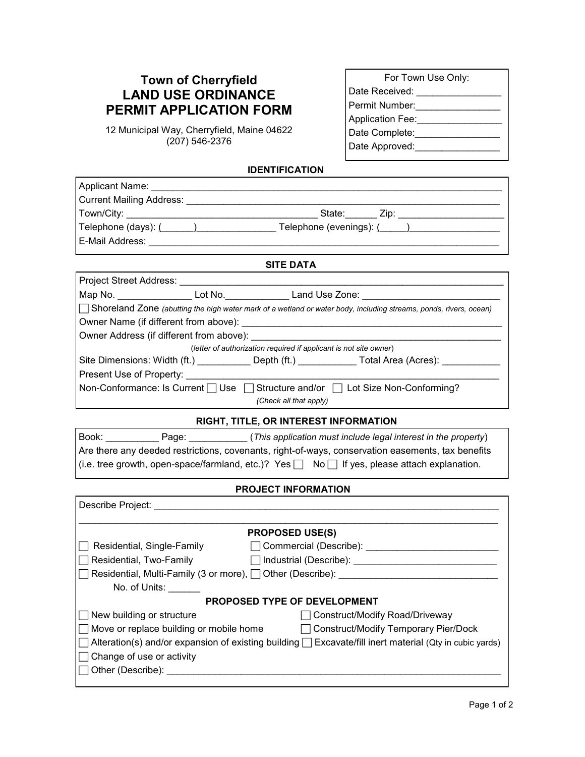## **Town of Cherryfield LAND USE ORDINANCE PERMIT APPLICATION FORM**

12 Municipal Way, Cherryfield, Maine 04622 (207) 546-2376

| For Town Use Only:      |
|-------------------------|
| Date Received:          |
| Permit Number:          |
| <b>Application Fee:</b> |
| Date Complete:          |
| Date Approved:          |

## **IDENTIFICATION**

| Applicant Name:                                                                                                                                                                                                                |  |  |  |  |
|--------------------------------------------------------------------------------------------------------------------------------------------------------------------------------------------------------------------------------|--|--|--|--|
|                                                                                                                                                                                                                                |  |  |  |  |
|                                                                                                                                                                                                                                |  |  |  |  |
| Telephone (days): (Complete the Complete Left Telephone (evenings): (Complete Left Assemble Left Assemble Left Assemble Left Assemble Left Assemble Left Assemble Left Assemble Left Assemble Left Assemble Left Assemble Left |  |  |  |  |
| E-Mail Address: E-Mail Address:                                                                                                                                                                                                |  |  |  |  |
| <b>SITE DATA</b>                                                                                                                                                                                                               |  |  |  |  |
| Project Street Address:                                                                                                                                                                                                        |  |  |  |  |
| Map No. _____________________ Lot No._____________________Land Use Zone: ________________________________                                                                                                                      |  |  |  |  |
| Shoreland Zone (abutting the high water mark of a wetland or water body, including streams, ponds, rivers, ocean)                                                                                                              |  |  |  |  |
|                                                                                                                                                                                                                                |  |  |  |  |
| Owner Address (if different from above): _________                                                                                                                                                                             |  |  |  |  |
| (letter of authorization required if applicant is not site owner)                                                                                                                                                              |  |  |  |  |
| Site Dimensions: Width (ft.) __________ Depth (ft.) ___________ Total Area (Acres): ____________                                                                                                                               |  |  |  |  |
| Present Use of Property: <u>[1989]</u> Present Use of Property:                                                                                                                                                                |  |  |  |  |
| Non-Conformance: Is Current   Use   Structure and/or   Lot Size Non-Conforming?                                                                                                                                                |  |  |  |  |
| (Check all that apply)                                                                                                                                                                                                         |  |  |  |  |
| RIGHT, TITLE, OR INTEREST INFORMATION                                                                                                                                                                                          |  |  |  |  |
| Book: Page: Page: (This application must include legal interest in the property)                                                                                                                                               |  |  |  |  |
| Are there any deeded restrictions, covenants, right-of-ways, conservation easements, tax benefits                                                                                                                              |  |  |  |  |
| (i.e. tree growth, open-space/farmland, etc.)? Yes $\Box$ No $\Box$ If yes, please attach explanation.                                                                                                                         |  |  |  |  |
| PROJECT INFORMATION                                                                                                                                                                                                            |  |  |  |  |
|                                                                                                                                                                                                                                |  |  |  |  |
|                                                                                                                                                                                                                                |  |  |  |  |
| <b>PROPOSED USE(S)</b>                                                                                                                                                                                                         |  |  |  |  |
| Residential, Single-Family <b>Commercial</b> (Describe): _____________________________                                                                                                                                         |  |  |  |  |
| □ Residential, Two-Family        □ Industrial (Describe): ______________________                                                                                                                                               |  |  |  |  |
| Residential, Multi-Family (3 or more), Other (Describe): _______________________                                                                                                                                               |  |  |  |  |
| No. of Units:                                                                                                                                                                                                                  |  |  |  |  |
| <b>PROPOSED TYPE OF DEVELOPMENT</b>                                                                                                                                                                                            |  |  |  |  |
| New building or structure<br>Construct/Modify Road/Driveway                                                                                                                                                                    |  |  |  |  |
| Move or replace building or mobile home<br><b>Construct/Modify Temporary Pier/Dock</b>                                                                                                                                         |  |  |  |  |
| Alteration(s) and/or expansion of existing building<br>Excavate/fill inert material (Qty in cubic yards)                                                                                                                       |  |  |  |  |
| Change of use or activity                                                                                                                                                                                                      |  |  |  |  |
|                                                                                                                                                                                                                                |  |  |  |  |
|                                                                                                                                                                                                                                |  |  |  |  |